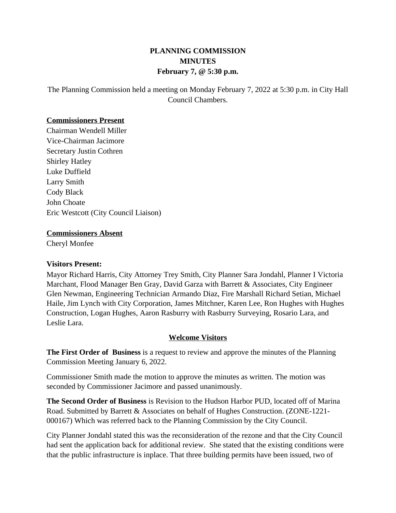# **PLANNING COMMISSION MINUTES February 7, @ 5:30 p.m.**

The Planning Commission held a meeting on Monday February 7, 2022 at 5:30 p.m. in City Hall Council Chambers.

### **Commissioners Present**

Chairman Wendell Miller Vice-Chairman Jacimore Secretary Justin Cothren Shirley Hatley Luke Duffield Larry Smith Cody Black John Choate Eric Westcott (City Council Liaison)

## **Commissioners Absent**

Cheryl Monfee

## **Visitors Present:**

Mayor Richard Harris, City Attorney Trey Smith, City Planner Sara Jondahl, Planner I Victoria Marchant, Flood Manager Ben Gray, David Garza with Barrett & Associates, City Engineer Glen Newman, Engineering Technician Armando Diaz, Fire Marshall Richard Setian, Michael Haile, Jim Lynch with City Corporation, James Mitchner, Karen Lee, Ron Hughes with Hughes Construction, Logan Hughes, Aaron Rasburry with Rasburry Surveying, Rosario Lara, and Leslie Lara.

## **Welcome Visitors**

**The First Order of Business** is a request to review and approve the minutes of the Planning Commission Meeting January 6, 2022.

Commissioner Smith made the motion to approve the minutes as written. The motion was seconded by Commissioner Jacimore and passed unanimously.

**The Second Order of Business** is Revision to the Hudson Harbor PUD, located off of Marina Road. Submitted by Barrett & Associates on behalf of Hughes Construction. (ZONE-1221- 000167) Which was referred back to the Planning Commission by the City Council.

City Planner Jondahl stated this was the reconsideration of the rezone and that the City Council had sent the application back for additional review. She stated that the existing conditions were that the public infrastructure is inplace. That three building permits have been issued, two of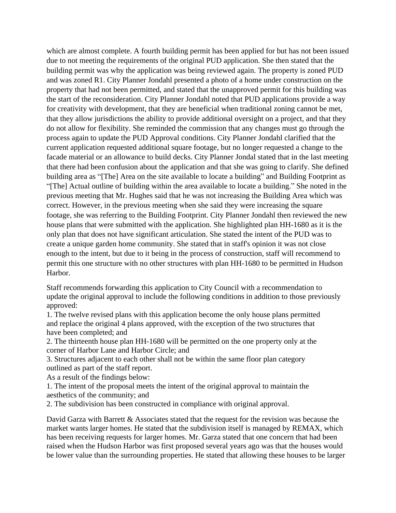which are almost complete. A fourth building permit has been applied for but has not been issued due to not meeting the requirements of the original PUD application. She then stated that the building permit was why the application was being reviewed again. The property is zoned PUD and was zoned R1. City Planner Jondahl presented a photo of a home under construction on the property that had not been permitted, and stated that the unapproved permit for this building was the start of the reconsideration. City Planner Jondahl noted that PUD applications provide a way for creativity with development, that they are beneficial when traditional zoning cannot be met, that they allow jurisdictions the ability to provide additional oversight on a project, and that they do not allow for flexibility. She reminded the commission that any changes must go through the process again to update the PUD Approval conditions. City Planner Jondahl clarified that the current application requested additional square footage, but no longer requested a change to the facade material or an allowance to build decks. City Planner Jondal stated that in the last meeting that there had been confusion about the application and that she was going to clarify. She defined building area as "[The] Area on the site available to locate a building" and Building Footprint as "[The] Actual outline of building within the area available to locate a building." She noted in the previous meeting that Mr. Hughes said that he was not increasing the Building Area which was correct. However, in the previous meeting when she said they were increasing the square footage, she was referring to the Building Footprint. City Planner Jondahl then reviewed the new house plans that were submitted with the application. She highlighted plan HH-1680 as it is the only plan that does not have significant articulation. She stated the intent of the PUD was to create a unique garden home community. She stated that in staff's opinion it was not close enough to the intent, but due to it being in the process of construction, staff will recommend to permit this one structure with no other structures with plan HH-1680 to be permitted in Hudson Harbor.

Staff recommends forwarding this application to City Council with a recommendation to update the original approval to include the following conditions in addition to those previously approved:

1. The twelve revised plans with this application become the only house plans permitted and replace the original 4 plans approved, with the exception of the two structures that have been completed; and

2. The thirteenth house plan HH-1680 will be permitted on the one property only at the corner of Harbor Lane and Harbor Circle; and

3. Structures adjacent to each other shall not be within the same floor plan category outlined as part of the staff report.

As a result of the findings below:

1. The intent of the proposal meets the intent of the original approval to maintain the aesthetics of the community; and

2. The subdivision has been constructed in compliance with original approval.

David Garza with Barrett & Associates stated that the request for the revision was because the market wants larger homes. He stated that the subdivision itself is managed by REMAX, which has been receiving requests for larger homes. Mr. Garza stated that one concern that had been raised when the Hudson Harbor was first proposed several years ago was that the houses would be lower value than the surrounding properties. He stated that allowing these houses to be larger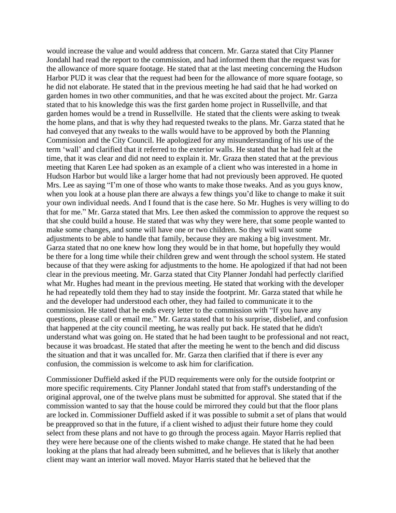would increase the value and would address that concern. Mr. Garza stated that City Planner Jondahl had read the report to the commission, and had informed them that the request was for the allowance of more square footage. He stated that at the last meeting concerning the Hudson Harbor PUD it was clear that the request had been for the allowance of more square footage, so he did not elaborate. He stated that in the previous meeting he had said that he had worked on garden homes in two other communities, and that he was excited about the project. Mr. Garza stated that to his knowledge this was the first garden home project in Russellville, and that garden homes would be a trend in Russellville. He stated that the clients were asking to tweak the home plans, and that is why they had requested tweaks to the plans. Mr. Garza stated that he had conveyed that any tweaks to the walls would have to be approved by both the Planning Commission and the City Council. He apologized for any misunderstanding of his use of the term 'wall' and clarified that it referred to the exterior walls. He stated that he had felt at the time, that it was clear and did not need to explain it. Mr. Graza then stated that at the previous meeting that Karen Lee had spoken as an example of a client who was interested in a home in Hudson Harbor but would like a larger home that had not previously been approved. He quoted Mrs. Lee as saying "I'm one of those who wants to make those tweaks. And as you guys know, when you look at a house plan there are always a few things you'd like to change to make it suit your own individual needs. And I found that is the case here. So Mr. Hughes is very willing to do that for me." Mr. Garza stated that Mrs. Lee then asked the commission to approve the request so that she could build a house. He stated that was why they were here, that some people wanted to make some changes, and some will have one or two children. So they will want some adjustments to be able to handle that family, because they are making a big investment. Mr. Garza stated that no one knew how long they would be in that home, but hopefully they would be there for a long time while their children grew and went through the school system. He stated because of that they were asking for adjustments to the home. He apologized if that had not been clear in the previous meeting. Mr. Garza stated that City Planner Jondahl had perfectly clarified what Mr. Hughes had meant in the previous meeting. He stated that working with the developer he had repeatedly told them they had to stay inside the footprint. Mr. Garza stated that while he and the developer had understood each other, they had failed to communicate it to the commission. He stated that he ends every letter to the commission with "If you have any questions, please call or email me." Mr. Garza stated that to his surprise, disbelief, and confusion that happened at the city council meeting, he was really put back. He stated that he didn't understand what was going on. He stated that he had been taught to be professional and not react, because it was broadcast. He stated that after the meeting he went to the bench and did discuss the situation and that it was uncalled for. Mr. Garza then clarified that if there is ever any confusion, the commission is welcome to ask him for clarification.

Commissioner Duffield asked if the PUD requirements were only for the outside footprint or more specific requirements. City Planner Jondahl stated that from staff's understanding of the original approval, one of the twelve plans must be submitted for approval. She stated that if the commission wanted to say that the house could be mirrored they could but that the floor plans are locked in. Commissioner Duffield asked if it was possible to submit a set of plans that would be preapproved so that in the future, if a client wished to adjust their future home they could select from these plans and not have to go through the process again. Mayor Harris replied that they were here because one of the clients wished to make change. He stated that he had been looking at the plans that had already been submitted, and he believes that is likely that another client may want an interior wall moved. Mayor Harris stated that he believed that the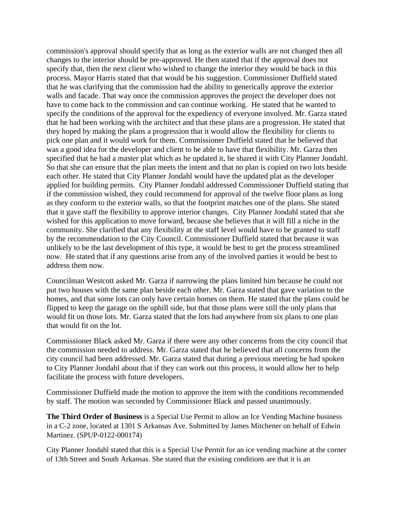commission's approval should specify that as long as the exterior walls are not changed then all changes to the interior should be pre-approved. He then stated that if the approval does not specify that, then the next client who wished to change the interior they would be back in this process. Mayor Harris stated that that would be his suggestion. Commissioner Duffield stated that he was clarifying that the commission had the ability to generically approve the exterior walls and facade. That way once the commission approves the project the developer does not have to come back to the commission and can continue working. He stated that he wanted to specify the conditions of the approval for the expediency of everyone involved. Mr. Garza stated that he had been working with the architect and that these plans are a progression. He stated that they hoped by making the plans a progression that it would allow the flexibility for clients to pick one plan and it would work for them. Commissioner Duffield stated that he believed that was a good idea for the developer and client to be able to have that flexibility. Mr. Garza then specified that he had a master plat which as he updated it, he shared it with City Planner Jondahl. So that she can ensure that the plan meets the intent and that no plan is copied on two lots beside each other. He stated that City Planner Jondahl would have the updated plat as the developer applied for building permits. City Planner Jondahl addressed Commissioner Duffield stating that if the commission wished, they could recommend for approval of the twelve floor plans as long as they conform to the exterior walls, so that the footprint matches one of the plans. She stated that it gave staff the flexibility to approve interior changes. City Planner Jondahl stated that she wished for this application to move forward, because she believes that it will fill a niche in the community. She clarified that any flexibility at the staff level would have to be granted to staff by the recommendation to the City Council. Commissioner Duffield stated that because it was unlikely to be the last development of this type, it would be best to get the process streamlined now. He stated that if any questions arise from any of the involved parties it would be best to address them now.

Councilman Westcott asked Mr. Garza if narrowing the plans limited him because he could not put two houses with the same plan beside each other. Mr. Garza stated that gave variation to the homes, and that some lots can only have certain homes on them. He stated that the plans could be flipped to keep the garage on the uphill side, but that those plans were still the only plans that would fit on those lots. Mr. Garza stated that the lots had anywhere from six plans to one plan that would fit on the lot.

Commissioner Black asked Mr. Garza if there were any other concerns from the city council that the commission needed to address. Mr. Garza stated that he believed that all concerns from the city council had been addressed. Mr. Garza stated that during a previous meeting he had spoken to City Planner Jondahl about that if they can work out this process, it would allow her to help facilitate the process with future developers.

Commissioner Duffield made the motion to approve the item with the conditions recommended by staff. The motion was seconded by Commissioner Black and passed unanimously.

**The Third Order of Business** is a Special Use Permit to allow an Ice Vending Machine business in a C-2 zone, located at 1301 S Arkansas Ave. Submitted by James Mitchener on behalf of Edwin Martinez. (SPUP-0122-000174)

City Planner Jondahl stated that this is a Special Use Permit for an ice vending machine at the corner of 13th Street and South Arkansas. She stated that the existing conditions are that it is an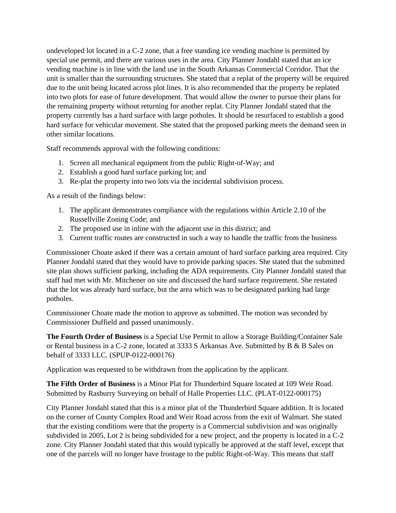undeveloped lot located in a C-2 zone, that a free standing ice vending machine is permitted by special use permit, and there are various uses in the area. City Planner Jondahl stated that an ice vending machine is in line with the land use in the South Arkansas Commercial Corridor. That the unit is smaller than the surrounding structures. She stated that a replat of the property will be required due to the unit being located across plot lines. It is also recommended that the property be replated into two plots for ease of future development. That would allow the owner to pursue their plans for the remaining property without returning for another replat. City Planner Jondahl stated that the property currently has a hard surface with large potholes. It should be resurfaced to establish a good hard surface for vehicular movement. She stated that the proposed parking meets the demand seen in other similar locations.

Staff recommends approval with the following conditions:

- 1. Screen all mechanical equipment from the public Right-of-Way; and
- 2. Establish a good hard surface parking lot; and
- 3. Re-plat the property into two lots via the incidental subdivision process.

As a result of the findings below:

- 1. The applicant demonstrates compliance with the regulations within Article 2.10 of the Russellville Zoning Code; and
- 2. The proposed use in inline with the adjacent use in this district; and
- 3. Current traffic routes are constructed in such a way to handle the traffic from the business

Commissioner Choate asked if there was a certain amount of hard surface parking area required. City Planner Jondahl stated that they would have to provide parking spaces. She stated that the submitted site plan shows sufficient parking, including the ADA requirements. City Planner Jondahl stated that staff had met with Mr. Mitchener on site and discussed the hard surface requirement. She restated that the lot was already hard surface, but the area which was to be designated parking had large potholes.

Commissioner Choate made the motion to approve as submitted. The motion was seconded by Commissioner Duffield and passed unanimously.

**The Fourth Order of Business** is a Special Use Permit to allow a Storage Building/Container Sale or Rental business in a C-2 zone, located at 3333 S Arkansas Ave. Submitted by B & B Sales on behalf of 3333 LLC. (SPUP-0122-000176)

Application was requested to be withdrawn from the application by the applicant.

**The Fifth Order of Business** is a Minor Plat for Thunderbird Square located at 109 Weir Road. Submitted by Rasburry Surveying on behalf of Halle Properties LLC. (PLAT-0122-000175)

City Planner Jondahl stated that this is a minor plat of the Thunderbird Square addition. It is located on the corner of County Complex Road and Weir Road across from the exit of Walmart. She stated that the existing conditions were that the property is a Commercial subdivision and was originally subdivided in 2005, Lot 2 is being subdivided for a new project, and the property is located in a C-2 zone. City Planner Jondahl stated that this would typically be approved at the staff level, except that one of the parcels will no longer have frontage to the public Right-of-Way. This means that staff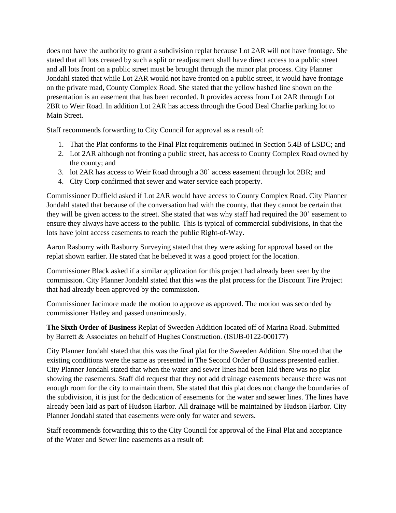does not have the authority to grant a subdivision replat because Lot 2AR will not have frontage. She stated that all lots created by such a split or readjustment shall have direct access to a public street and all lots front on a public street must be brought through the minor plat process. City Planner Jondahl stated that while Lot 2AR would not have fronted on a public street, it would have frontage on the private road, County Complex Road. She stated that the yellow hashed line shown on the presentation is an easement that has been recorded. It provides access from Lot 2AR through Lot 2BR to Weir Road. In addition Lot 2AR has access through the Good Deal Charlie parking lot to Main Street.

Staff recommends forwarding to City Council for approval as a result of:

- 1. That the Plat conforms to the Final Plat requirements outlined in Section 5.4B of LSDC; and
- 2. Lot 2AR although not fronting a public street, has access to County Complex Road owned by the county; and
- 3. lot 2AR has access to Weir Road through a 30' access easement through lot 2BR; and
- 4. City Corp confirmed that sewer and water service each property.

Commissioner Duffield asked if Lot 2AR would have access to County Complex Road. City Planner Jondahl stated that because of the conversation had with the county, that they cannot be certain that they will be given access to the street. She stated that was why staff had required the 30' easement to ensure they always have access to the public. This is typical of commercial subdivisions, in that the lots have joint access easements to reach the public Right-of-Way.

Aaron Rasburry with Rasburry Surveying stated that they were asking for approval based on the replat shown earlier. He stated that he believed it was a good project for the location.

Commissioner Black asked if a similar application for this project had already been seen by the commission. City Planner Jondahl stated that this was the plat process for the Discount Tire Project that had already been approved by the commission.

Commissioner Jacimore made the motion to approve as approved. The motion was seconded by commissioner Hatley and passed unanimously.

**The Sixth Order of Business** Replat of Sweeden Addition located off of Marina Road. Submitted by Barrett & Associates on behalf of Hughes Construction. (ISUB-0122-000177)

City Planner Jondahl stated that this was the final plat for the Sweeden Addition. She noted that the existing conditions were the same as presented in The Second Order of Business presented earlier. City Planner Jondahl stated that when the water and sewer lines had been laid there was no plat showing the easements. Staff did request that they not add drainage easements because there was not enough room for the city to maintain them. She stated that this plat does not change the boundaries of the subdivision, it is just for the dedication of easements for the water and sewer lines. The lines have already been laid as part of Hudson Harbor. All drainage will be maintained by Hudson Harbor. City Planner Jondahl stated that easements were only for water and sewers.

Staff recommends forwarding this to the City Council for approval of the Final Plat and acceptance of the Water and Sewer line easements as a result of: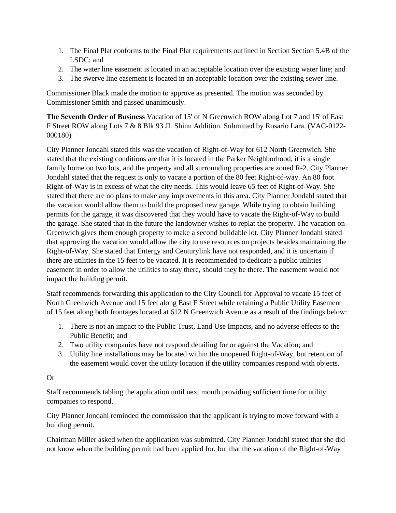- 1. The Final Plat conforms to the Final Plat requirements outlined in Section Section 5.4B of the LSDC; and
- 2. The water line easement is located in an acceptable location over the existing water line; and
- 3. The swerve line easement is located in an acceptable location over the existing sewer line.

Commissioner Black made the motion to approve as presented. The motion was seconded by Commissioner Smith and passed unanimously.

**The Seventh Order of Business** Vacation of 15' of N Greenwich ROW along Lot 7 and 15' of East F Street ROW along Lots 7 & 8 Blk 93 JL Shinn Addition. Submitted by Rosario Lara. (VAC-0122- 000180)

City Planner Jondahl stated this was the vacation of Right-of-Way for 612 North Greenwich. She stated that the existing conditions are that it is located in the Parker Neighborhood, it is a single family home on two lots, and the property and all surrounding properties are zoned R-2. City Planner Jondahl stated that the request is only to vacate a portion of the 80 feet Right-of-way. An 80 foot Right-of-Way is in excess of what the city needs. This would leave 65 feet of Right-of-Way. She stated that there are no plans to make any improvements in this area. City Planner Jondahl stated that the vacation would allow them to build the proposed new garage. While trying to obtain building permits for the garage, it was discovered that they would have to vacate the Right-of-Way to build the garage. She stated that in the future the landowner wishes to replat the property. The vacation on Greenwich gives them enough property to make a second buildable lot. City Planner Jondahl stated that approving the vacation would allow the city to use resources on projects besides maintaining the Right-of-Way. She stated that Entergy and Centurylink have not responded, and it is uncertain if there are utilities in the 15 feet to be vacated. It is recommended to dedicate a public utilities easement in order to allow the utilities to stay there, should they be there. The easement would not impact the building permit.

Staff recommends forwarding this application to the City Council for Approval to vacate 15 feet of North Greenwich Avenue and 15 feet along East F Street while retaining a Public Utility Easement of 15 feet along both frontages located at 612 N Greenwich Avenue as a result of the findings below:

- 1. There is not an impact to the Public Trust, Land Use Impacts, and no adverse effects to the Public Benefit; and
- 2. Two utility companies have not respond detailing for or against the Vacation; and
- 3. Utility line installations may be located within the unopened Right-of-Way, but retention of the easement would cover the utility location if the utility companies respond with objects.

## Or

Staff recommends tabling the application until next month providing sufficient time for utility companies to respond.

City Planner Jondahl reminded the commission that the applicant is trying to move forward with a building permit.

Chairman Miller asked when the application was submitted. City Planner Jondahl stated that she did not know when the building permit had been applied for, but that the vacation of the Right-of-Way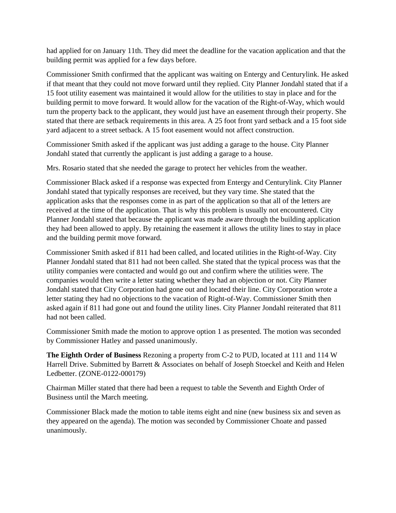had applied for on January 11th. They did meet the deadline for the vacation application and that the building permit was applied for a few days before.

Commissioner Smith confirmed that the applicant was waiting on Entergy and Centurylink. He asked if that meant that they could not move forward until they replied. City Planner Jondahl stated that if a 15 foot utility easement was maintained it would allow for the utilities to stay in place and for the building permit to move forward. It would allow for the vacation of the Right-of-Way, which would turn the property back to the applicant, they would just have an easement through their property. She stated that there are setback requirements in this area. A 25 foot front yard setback and a 15 foot side yard adjacent to a street setback. A 15 foot easement would not affect construction.

Commissioner Smith asked if the applicant was just adding a garage to the house. City Planner Jondahl stated that currently the applicant is just adding a garage to a house.

Mrs. Rosario stated that she needed the garage to protect her vehicles from the weather.

Commissioner Black asked if a response was expected from Entergy and Centurylink. City Planner Jondahl stated that typically responses are received, but they vary time. She stated that the application asks that the responses come in as part of the application so that all of the letters are received at the time of the application. That is why this problem is usually not encountered. City Planner Jondahl stated that because the applicant was made aware through the building application they had been allowed to apply. By retaining the easement it allows the utility lines to stay in place and the building permit move forward.

Commissioner Smith asked if 811 had been called, and located utilities in the Right-of-Way. City Planner Jondahl stated that 811 had not been called. She stated that the typical process was that the utility companies were contacted and would go out and confirm where the utilities were. The companies would then write a letter stating whether they had an objection or not. City Planner Jondahl stated that City Corporation had gone out and located their line. City Corporation wrote a letter stating they had no objections to the vacation of Right-of-Way. Commissioner Smith then asked again if 811 had gone out and found the utility lines. City Planner Jondahl reiterated that 811 had not been called.

Commissioner Smith made the motion to approve option 1 as presented. The motion was seconded by Commissioner Hatley and passed unanimously.

**The Eighth Order of Business** Rezoning a property from C-2 to PUD, located at 111 and 114 W Harrell Drive. Submitted by Barrett & Associates on behalf of Joseph Stoeckel and Keith and Helen Ledbetter. (ZONE-0122-000179)

Chairman Miller stated that there had been a request to table the Seventh and Eighth Order of Business until the March meeting.

Commissioner Black made the motion to table items eight and nine (new business six and seven as they appeared on the agenda). The motion was seconded by Commissioner Choate and passed unanimously.